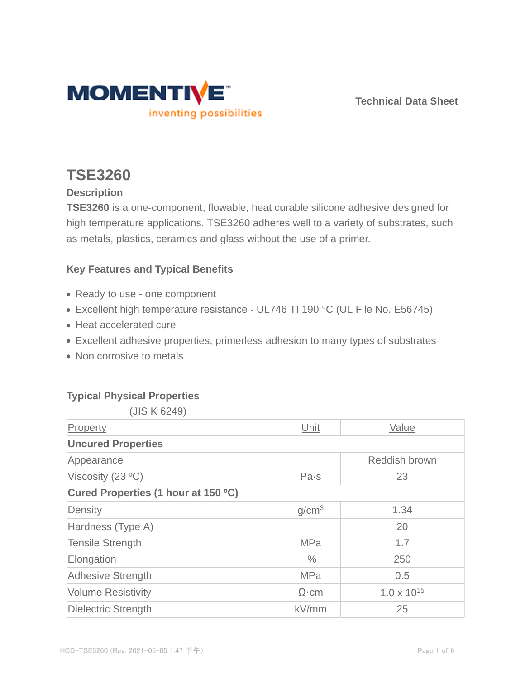

**Technical Data Sheet**

# **TSE3260**

# **Description**

**TSE3260** is a one-component, flowable, heat curable silicone adhesive designed for high temperature applications. TSE3260 adheres well to a variety of substrates, such as metals, plastics, ceramics and glass without the use of a primer.

# **Key Features and Typical Benefits**

- Ready to use one component
- Excellent high temperature resistance UL746 TI 190 °C (UL File No. E56745)
- Heat accelerated cure
- Excellent adhesive properties, primerless adhesion to many types of substrates
- Non corrosive to metals

# **Typical Physical Properties**

(JIS K 6249)

| Property                            | Unit              | Value                |  |  |  |
|-------------------------------------|-------------------|----------------------|--|--|--|
| <b>Uncured Properties</b>           |                   |                      |  |  |  |
| Appearance                          |                   | Reddish brown        |  |  |  |
| Viscosity $(23 °C)$                 | Pa·s              | 23                   |  |  |  |
| Cured Properties (1 hour at 150 °C) |                   |                      |  |  |  |
| Density                             | g/cm <sup>3</sup> | 1.34                 |  |  |  |
| Hardness (Type A)                   |                   | 20                   |  |  |  |
| <b>Tensile Strength</b>             | <b>MPa</b>        | 1.7                  |  |  |  |
| Elongation                          | $\frac{0}{0}$     | 250                  |  |  |  |
| <b>Adhesive Strength</b>            | <b>MPa</b>        | 0.5                  |  |  |  |
| <b>Volume Resistivity</b>           | $\Omega$ ·cm      | $1.0 \times 10^{15}$ |  |  |  |
| Dielectric Strength                 | kV/mm             | 25                   |  |  |  |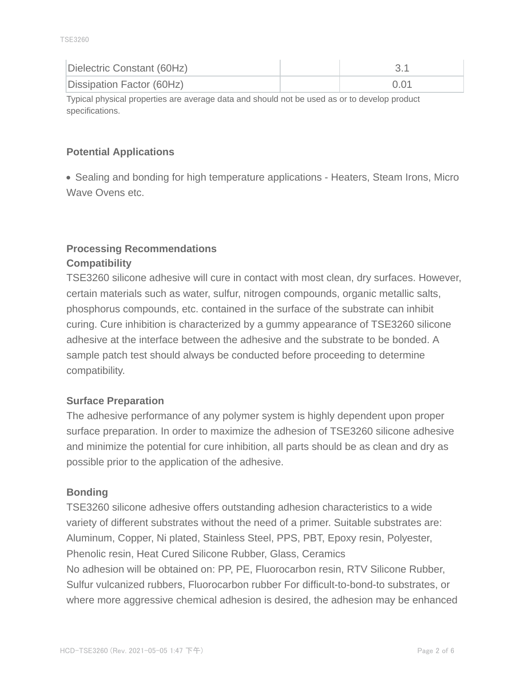| Dielectric Constant (60Hz) |      |
|----------------------------|------|
| Dissipation Factor (60Hz)  | 0.01 |

Typical physical properties are average data and should not be used as or to develop product specifications.

# **Potential Applications**

• Sealing and bonding for high temperature applications - Heaters, Steam Irons, Micro Wave Ovens etc.

# **Processing Recommendations Compatibility**

TSE3260 silicone adhesive will cure in contact with most clean, dry surfaces. However, certain materials such as water, sulfur, nitrogen compounds, organic metallic salts, phosphorus compounds, etc. contained in the surface of the substrate can inhibit curing. Cure inhibition is characterized by a gummy appearance of TSE3260 silicone adhesive at the interface between the adhesive and the substrate to be bonded. A sample patch test should always be conducted before proceeding to determine compatibility.

# **Surface Preparation**

The adhesive performance of any polymer system is highly dependent upon proper surface preparation. In order to maximize the adhesion of TSE3260 silicone adhesive and minimize the potential for cure inhibition, all parts should be as clean and dry as possible prior to the application of the adhesive.

#### **Bonding**

TSE3260 silicone adhesive offers outstanding adhesion characteristics to a wide variety of different substrates without the need of a primer. Suitable substrates are: Aluminum, Copper, Ni plated, Stainless Steel, PPS, PBT, Epoxy resin, Polyester, Phenolic resin, Heat Cured Silicone Rubber, Glass, Ceramics No adhesion will be obtained on: PP, PE, Fluorocarbon resin, RTV Silicone Rubber, Sulfur vulcanized rubbers, Fluorocarbon rubber For difficult-to-bond-to substrates, or where more aggressive chemical adhesion is desired, the adhesion may be enhanced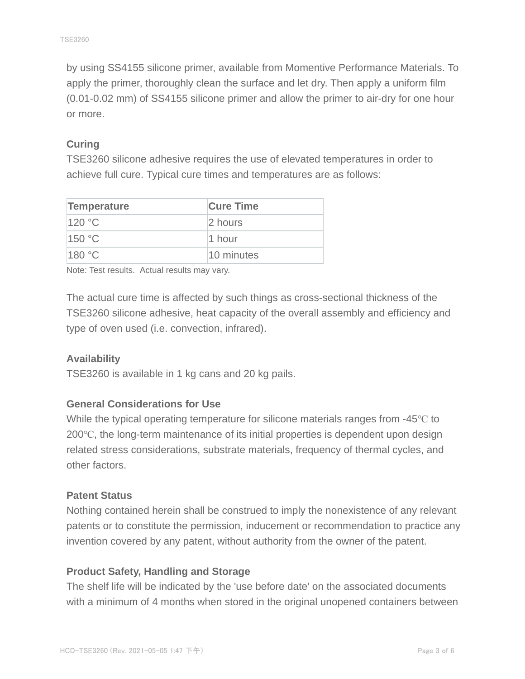by using SS4155 silicone primer, available from Momentive Performance Materials. To apply the primer, thoroughly clean the surface and let dry. Then apply a uniform film (0.01-0.02 mm) of SS4155 silicone primer and allow the primer to air-dry for one hour or more.

### **Curing**

TSE3260 silicone adhesive requires the use of elevated temperatures in order to achieve full cure. Typical cure times and temperatures are as follows:

| Temperature | <b>Cure Time</b> |
|-------------|------------------|
| 120 °C      | 2 hours          |
| 150 °C      | 1 hour           |
| 180 °C      | 10 minutes       |

Note: Test results. Actual results may vary.

The actual cure time is affected by such things as cross-sectional thickness of the TSE3260 silicone adhesive, heat capacity of the overall assembly and efficiency and type of oven used (i.e. convection, infrared).

#### **Availability**

TSE3260 is available in 1 kg cans and 20 kg pails.

#### **General Considerations for Use**

While the typical operating temperature for silicone materials ranges from -45℃ to 200℃, the long-term maintenance of its initial properties is dependent upon design related stress considerations, substrate materials, frequency of thermal cycles, and other factors.

#### **Patent Status**

Nothing contained herein shall be construed to imply the nonexistence of any relevant patents or to constitute the permission, inducement or recommendation to practice any invention covered by any patent, without authority from the owner of the patent.

#### **Product Safety, Handling and Storage**

The shelf life will be indicated by the 'use before date' on the associated documents with a minimum of 4 months when stored in the original unopened containers between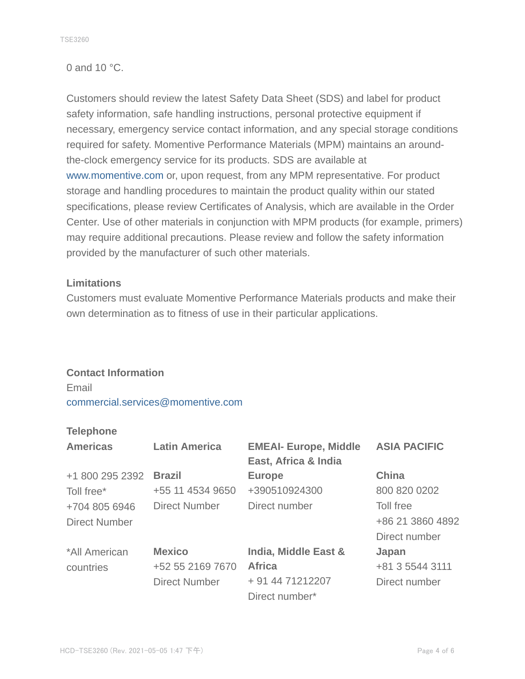#### 0 and 10 °C.

Customers should review the latest Safety Data Sheet (SDS) and label for product safety information, safe handling instructions, personal protective equipment if necessary, emergency service contact information, and any special storage conditions required for safety. Momentive Performance Materials (MPM) maintains an aroundthe-clock emergency service for its products. SDS are available at www.momentive.com or, upon request, from any MPM representative. For product storage and handling procedures to maintain the product quality within our stated specifications, please review Certificates of Analysis, which are available in the Order Center. Use of other materials in conjunction with MPM products (for example, primers) may require additional precautions. Please review and follow the safety information provided by the manufacturer of such other materials.

#### **Limitations**

Customers must evaluate Momentive Performance Materials products and make their own determination as to fitness of use in their particular applications.

# **Contact Information**

Email commercial.services@momentive.com

#### **Telephone**

| <b>Americas</b>      | <b>Latin America</b> | <b>EMEAI- Europe, Middle</b><br>East, Africa & India | <b>ASIA PACIFIC</b> |
|----------------------|----------------------|------------------------------------------------------|---------------------|
| +1 800 295 2392      | <b>Brazil</b>        | <b>Europe</b>                                        | <b>China</b>        |
| Toll free*           | +55 11 4534 9650     | +390510924300                                        | 800 820 0202        |
| +704 805 6946        | <b>Direct Number</b> | Direct number                                        | Toll free           |
| <b>Direct Number</b> |                      |                                                      | +86 21 3860 4892    |
|                      |                      |                                                      | Direct number       |
| *All American        | <b>Mexico</b>        | India, Middle East &                                 | Japan               |
| countries            | +52 55 2169 7670     | <b>Africa</b>                                        | +81 3 5544 3111     |
|                      | <b>Direct Number</b> | + 91 44 71212207                                     | Direct number       |
|                      |                      | Direct number*                                       |                     |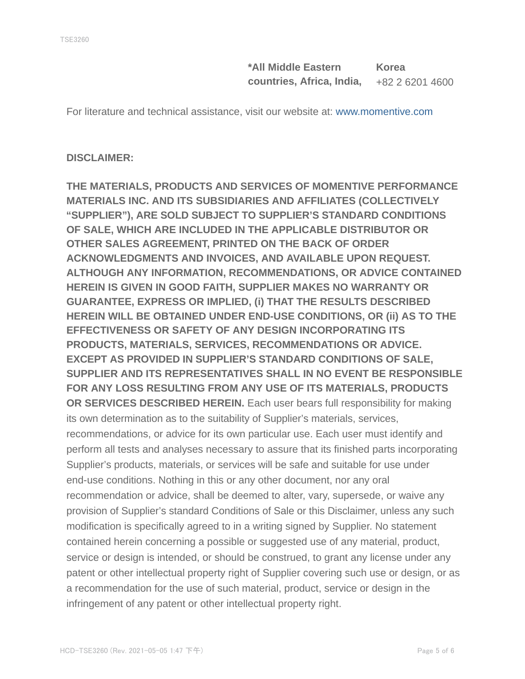**\*All Middle Eastern countries, Africa, India, Korea** +82 2 6201 4600

For literature and technical assistance, visit our website at: www.momentive.com

#### **DISCLAIMER:**

**THE MATERIALS, PRODUCTS AND SERVICES OF MOMENTIVE PERFORMANCE MATERIALS INC. AND ITS SUBSIDIARIES AND AFFILIATES (COLLECTIVELY "SUPPLIER"), ARE SOLD SUBJECT TO SUPPLIER'S STANDARD CONDITIONS OF SALE, WHICH ARE INCLUDED IN THE APPLICABLE DISTRIBUTOR OR OTHER SALES AGREEMENT, PRINTED ON THE BACK OF ORDER ACKNOWLEDGMENTS AND INVOICES, AND AVAILABLE UPON REQUEST. ALTHOUGH ANY INFORMATION, RECOMMENDATIONS, OR ADVICE CONTAINED HEREIN IS GIVEN IN GOOD FAITH, SUPPLIER MAKES NO WARRANTY OR GUARANTEE, EXPRESS OR IMPLIED, (i) THAT THE RESULTS DESCRIBED HEREIN WILL BE OBTAINED UNDER END-USE CONDITIONS, OR (ii) AS TO THE EFFECTIVENESS OR SAFETY OF ANY DESIGN INCORPORATING ITS PRODUCTS, MATERIALS, SERVICES, RECOMMENDATIONS OR ADVICE. EXCEPT AS PROVIDED IN SUPPLIER'S STANDARD CONDITIONS OF SALE, SUPPLIER AND ITS REPRESENTATIVES SHALL IN NO EVENT BE RESPONSIBLE FOR ANY LOSS RESULTING FROM ANY USE OF ITS MATERIALS, PRODUCTS OR SERVICES DESCRIBED HEREIN.** Each user bears full responsibility for making its own determination as to the suitability of Supplier's materials, services, recommendations, or advice for its own particular use. Each user must identify and perform all tests and analyses necessary to assure that its finished parts incorporating Supplier's products, materials, or services will be safe and suitable for use under end-use conditions. Nothing in this or any other document, nor any oral recommendation or advice, shall be deemed to alter, vary, supersede, or waive any provision of Supplier's standard Conditions of Sale or this Disclaimer, unless any such modification is specifically agreed to in a writing signed by Supplier. No statement contained herein concerning a possible or suggested use of any material, product, service or design is intended, or should be construed, to grant any license under any patent or other intellectual property right of Supplier covering such use or design, or as a recommendation for the use of such material, product, service or design in the infringement of any patent or other intellectual property right.